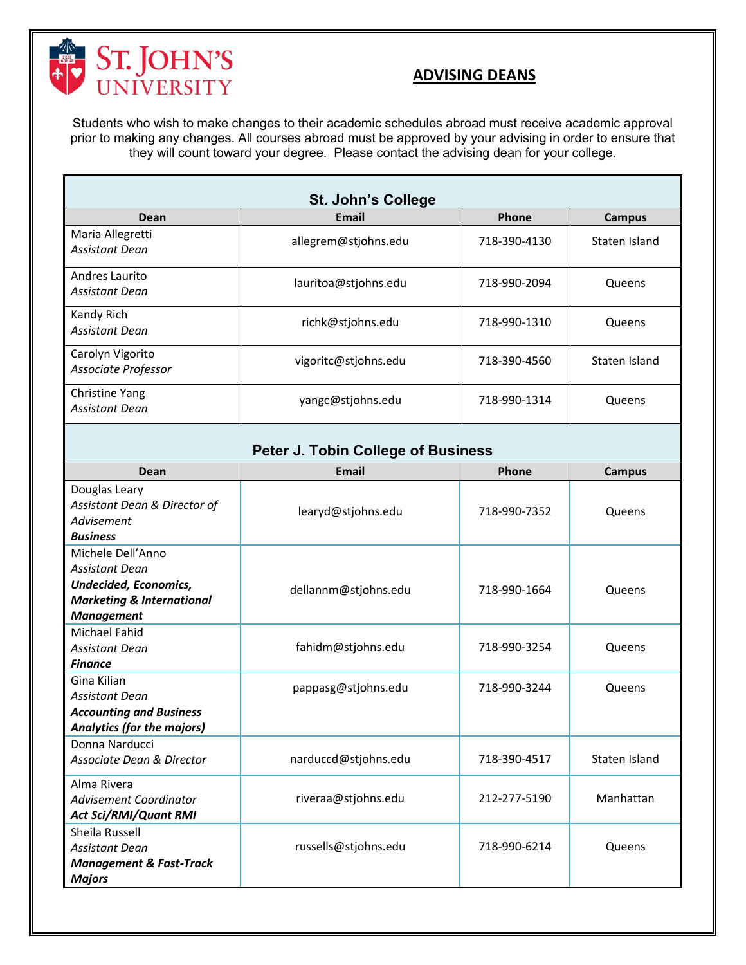

## **ADVISING DEANS**

Students who wish to make changes to their academic schedules abroad must receive academic approval prior to making any changes. All courses abroad must be approved by your advising in order to ensure that they will count toward your degree. Please contact the advising dean for your college.

| <b>St. John's College</b>                 |                      |              |               |  |  |
|-------------------------------------------|----------------------|--------------|---------------|--|--|
| Dean                                      | Email                | Phone        | Campus        |  |  |
| Maria Allegretti<br><b>Assistant Dean</b> | allegrem@stjohns.edu | 718-390-4130 | Staten Island |  |  |
| Andres Laurito<br>Assistant Dean          | lauritoa@stjohns.edu | 718-990-2094 | Queens        |  |  |
| Kandy Rich<br>Assistant Dean              | richk@stjohns.edu    | 718-990-1310 | Queens        |  |  |
| Carolyn Vigorito<br>Associate Professor   | vigoritc@stjohns.edu | 718-390-4560 | Staten Island |  |  |
| Christine Yang<br><b>Assistant Dean</b>   | yangc@stjohns.edu    | 718-990-1314 | Queens        |  |  |

## **Peter J. Tobin College of Business**

| Dean                                 | <b>Email</b>         | Phone        | <b>Campus</b> |  |  |
|--------------------------------------|----------------------|--------------|---------------|--|--|
| Douglas Leary                        |                      |              |               |  |  |
| Assistant Dean & Director of         | learyd@stjohns.edu   | 718-990-7352 | Queens        |  |  |
| Advisement                           |                      |              |               |  |  |
| <b>Business</b>                      |                      |              |               |  |  |
| Michele Dell'Anno                    |                      |              |               |  |  |
| <b>Assistant Dean</b>                |                      |              |               |  |  |
| <b>Undecided, Economics,</b>         | dellannm@stjohns.edu | 718-990-1664 | Queens        |  |  |
| <b>Marketing &amp; International</b> |                      |              |               |  |  |
| <b>Management</b>                    |                      |              |               |  |  |
| Michael Fahid                        |                      |              |               |  |  |
| <b>Assistant Dean</b>                | fahidm@stjohns.edu   | 718-990-3254 | Queens        |  |  |
| <b>Finance</b>                       |                      |              |               |  |  |
| Gina Kilian                          | pappasg@stjohns.edu  | 718-990-3244 | Queens        |  |  |
| <b>Assistant Dean</b>                |                      |              |               |  |  |
| <b>Accounting and Business</b>       |                      |              |               |  |  |
| <b>Analytics (for the majors)</b>    |                      |              |               |  |  |
| Donna Narducci                       |                      |              |               |  |  |
| Associate Dean & Director            | narduccd@stjohns.edu | 718-390-4517 | Staten Island |  |  |
| Alma Rivera                          |                      |              |               |  |  |
| Advisement Coordinator               | riveraa@stjohns.edu  | 212-277-5190 | Manhattan     |  |  |
| <b>Act Sci/RMI/Quant RMI</b>         |                      |              |               |  |  |
| Sheila Russell                       |                      |              |               |  |  |
| <b>Assistant Dean</b>                | russells@stjohns.edu | 718-990-6214 | Queens        |  |  |
| <b>Management &amp; Fast-Track</b>   |                      |              |               |  |  |
| <b>Majors</b>                        |                      |              |               |  |  |